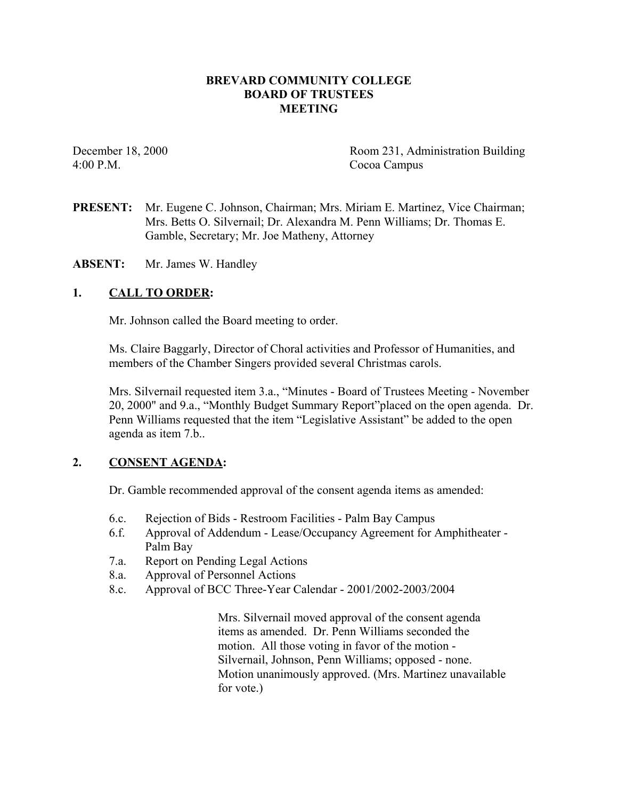### **BREVARD COMMUNITY COLLEGE BOARD OF TRUSTEES MEETING**

4:00 P.M. Cocoa Campus

December 18, 2000 Room 231, Administration Building

**PRESENT:** Mr. Eugene C. Johnson, Chairman; Mrs. Miriam E. Martinez, Vice Chairman; Mrs. Betts O. Silvernail; Dr. Alexandra M. Penn Williams; Dr. Thomas E. Gamble, Secretary; Mr. Joe Matheny, Attorney

**ABSENT:** Mr. James W. Handley

### **1. CALL TO ORDER:**

Mr. Johnson called the Board meeting to order.

Ms. Claire Baggarly, Director of Choral activities and Professor of Humanities, and members of the Chamber Singers provided several Christmas carols.

Mrs. Silvernail requested item 3.a., "Minutes - Board of Trustees Meeting - November 20, 2000" and 9.a., "Monthly Budget Summary Report"placed on the open agenda. Dr. Penn Williams requested that the item "Legislative Assistant" be added to the open agenda as item 7.b..

# **2. CONSENT AGENDA:**

Dr. Gamble recommended approval of the consent agenda items as amended:

- 6.c. Rejection of Bids Restroom Facilities Palm Bay Campus
- 6.f. Approval of Addendum Lease/Occupancy Agreement for Amphitheater Palm Bay
- 7.a. Report on Pending Legal Actions
- 8.a. Approval of Personnel Actions
- 8.c. Approval of BCC Three-Year Calendar 2001/2002-2003/2004

Mrs. Silvernail moved approval of the consent agenda items as amended. Dr. Penn Williams seconded the motion. All those voting in favor of the motion - Silvernail, Johnson, Penn Williams; opposed - none. Motion unanimously approved. (Mrs. Martinez unavailable for vote.)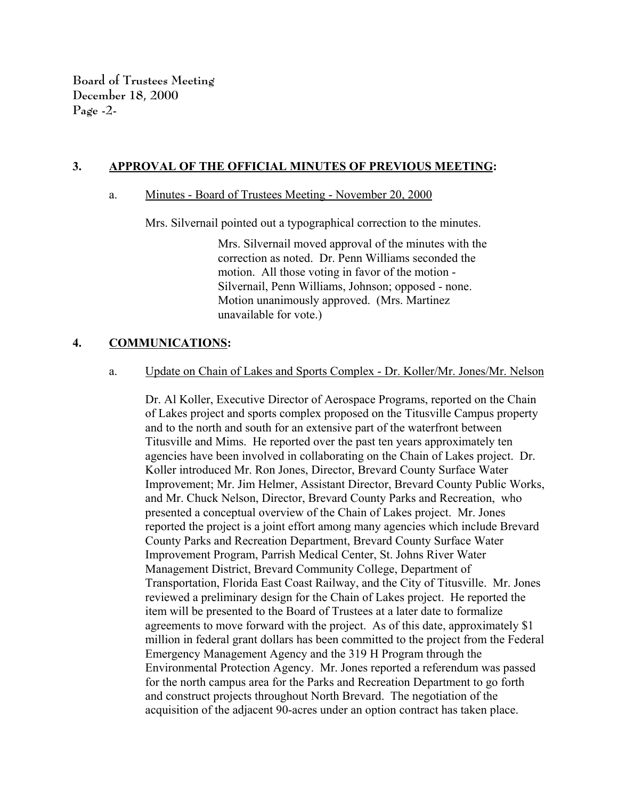**Board of Trustees Meeting December 18, 2000 Page -2-**

### **3. APPROVAL OF THE OFFICIAL MINUTES OF PREVIOUS MEETING:**

#### a. Minutes - Board of Trustees Meeting - November 20, 2000

Mrs. Silvernail pointed out a typographical correction to the minutes.

Mrs. Silvernail moved approval of the minutes with the correction as noted. Dr. Penn Williams seconded the motion. All those voting in favor of the motion - Silvernail, Penn Williams, Johnson; opposed - none. Motion unanimously approved. (Mrs. Martinez unavailable for vote.)

### **4. COMMUNICATIONS:**

#### a. Update on Chain of Lakes and Sports Complex - Dr. Koller/Mr. Jones/Mr. Nelson

Dr. Al Koller, Executive Director of Aerospace Programs, reported on the Chain of Lakes project and sports complex proposed on the Titusville Campus property and to the north and south for an extensive part of the waterfront between Titusville and Mims. He reported over the past ten years approximately ten agencies have been involved in collaborating on the Chain of Lakes project. Dr. Koller introduced Mr. Ron Jones, Director, Brevard County Surface Water Improvement; Mr. Jim Helmer, Assistant Director, Brevard County Public Works, and Mr. Chuck Nelson, Director, Brevard County Parks and Recreation, who presented a conceptual overview of the Chain of Lakes project. Mr. Jones reported the project is a joint effort among many agencies which include Brevard County Parks and Recreation Department, Brevard County Surface Water Improvement Program, Parrish Medical Center, St. Johns River Water Management District, Brevard Community College, Department of Transportation, Florida East Coast Railway, and the City of Titusville. Mr. Jones reviewed a preliminary design for the Chain of Lakes project. He reported the item will be presented to the Board of Trustees at a later date to formalize agreements to move forward with the project. As of this date, approximately \$1 million in federal grant dollars has been committed to the project from the Federal Emergency Management Agency and the 319 H Program through the Environmental Protection Agency. Mr. Jones reported a referendum was passed for the north campus area for the Parks and Recreation Department to go forth and construct projects throughout North Brevard. The negotiation of the acquisition of the adjacent 90-acres under an option contract has taken place.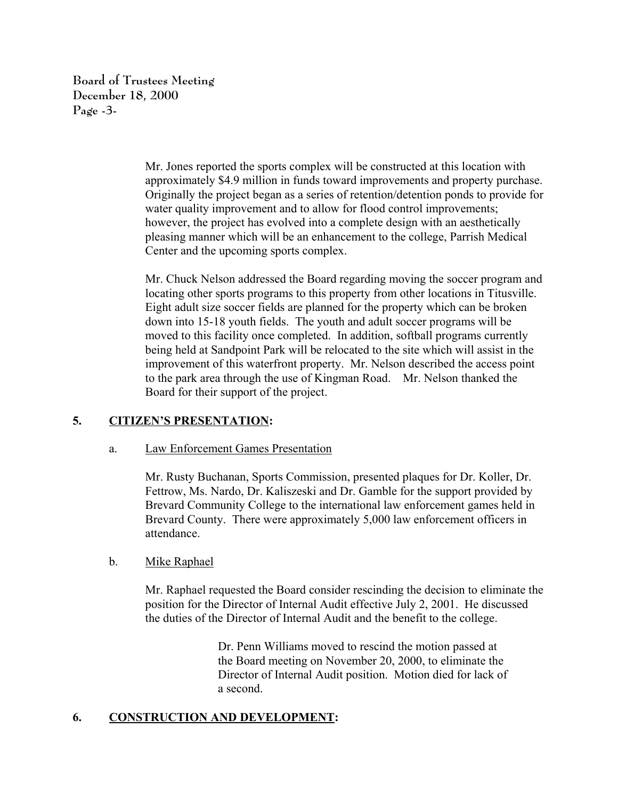**Board of Trustees Meeting December 18, 2000 Page -3-**

> Mr. Jones reported the sports complex will be constructed at this location with approximately \$4.9 million in funds toward improvements and property purchase. Originally the project began as a series of retention/detention ponds to provide for water quality improvement and to allow for flood control improvements; however, the project has evolved into a complete design with an aesthetically pleasing manner which will be an enhancement to the college, Parrish Medical Center and the upcoming sports complex.

> Mr. Chuck Nelson addressed the Board regarding moving the soccer program and locating other sports programs to this property from other locations in Titusville. Eight adult size soccer fields are planned for the property which can be broken down into 15-18 youth fields. The youth and adult soccer programs will be moved to this facility once completed. In addition, softball programs currently being held at Sandpoint Park will be relocated to the site which will assist in the improvement of this waterfront property. Mr. Nelson described the access point to the park area through the use of Kingman Road. Mr. Nelson thanked the Board for their support of the project.

# **5. CITIZEN'S PRESENTATION:**

#### a. Law Enforcement Games Presentation

Mr. Rusty Buchanan, Sports Commission, presented plaques for Dr. Koller, Dr. Fettrow, Ms. Nardo, Dr. Kaliszeski and Dr. Gamble for the support provided by Brevard Community College to the international law enforcement games held in Brevard County. There were approximately 5,000 law enforcement officers in attendance.

#### b. Mike Raphael

Mr. Raphael requested the Board consider rescinding the decision to eliminate the position for the Director of Internal Audit effective July 2, 2001. He discussed the duties of the Director of Internal Audit and the benefit to the college.

> Dr. Penn Williams moved to rescind the motion passed at the Board meeting on November 20, 2000, to eliminate the Director of Internal Audit position. Motion died for lack of a second.

#### **6. CONSTRUCTION AND DEVELOPMENT:**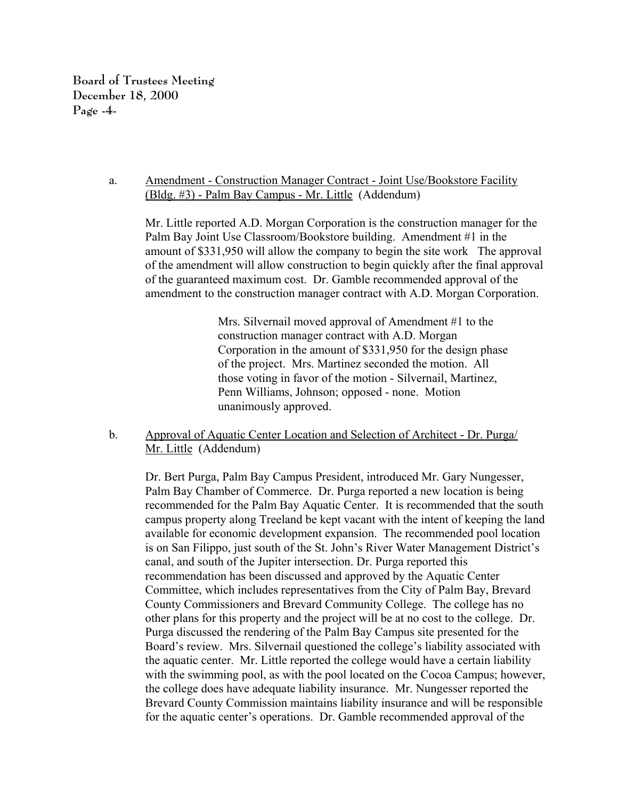**Board of Trustees Meeting December 18, 2000 Page -4-**

### a. Amendment - Construction Manager Contract - Joint Use/Bookstore Facility (Bldg. #3) - Palm Bay Campus - Mr. Little (Addendum)

Mr. Little reported A.D. Morgan Corporation is the construction manager for the Palm Bay Joint Use Classroom/Bookstore building. Amendment #1 in the amount of \$331,950 will allow the company to begin the site work The approval of the amendment will allow construction to begin quickly after the final approval of the guaranteed maximum cost. Dr. Gamble recommended approval of the amendment to the construction manager contract with A.D. Morgan Corporation.

> Mrs. Silvernail moved approval of Amendment #1 to the construction manager contract with A.D. Morgan Corporation in the amount of \$331,950 for the design phase of the project. Mrs. Martinez seconded the motion. All those voting in favor of the motion - Silvernail, Martinez, Penn Williams, Johnson; opposed - none. Motion unanimously approved.

### b. Approval of Aquatic Center Location and Selection of Architect - Dr. Purga/ Mr. Little (Addendum)

Dr. Bert Purga, Palm Bay Campus President, introduced Mr. Gary Nungesser, Palm Bay Chamber of Commerce. Dr. Purga reported a new location is being recommended for the Palm Bay Aquatic Center. It is recommended that the south campus property along Treeland be kept vacant with the intent of keeping the land available for economic development expansion. The recommended pool location is on San Filippo, just south of the St. John's River Water Management District's canal, and south of the Jupiter intersection. Dr. Purga reported this recommendation has been discussed and approved by the Aquatic Center Committee, which includes representatives from the City of Palm Bay, Brevard County Commissioners and Brevard Community College. The college has no other plans for this property and the project will be at no cost to the college. Dr. Purga discussed the rendering of the Palm Bay Campus site presented for the Board's review. Mrs. Silvernail questioned the college's liability associated with the aquatic center. Mr. Little reported the college would have a certain liability with the swimming pool, as with the pool located on the Cocoa Campus; however, the college does have adequate liability insurance. Mr. Nungesser reported the Brevard County Commission maintains liability insurance and will be responsible for the aquatic center's operations. Dr. Gamble recommended approval of the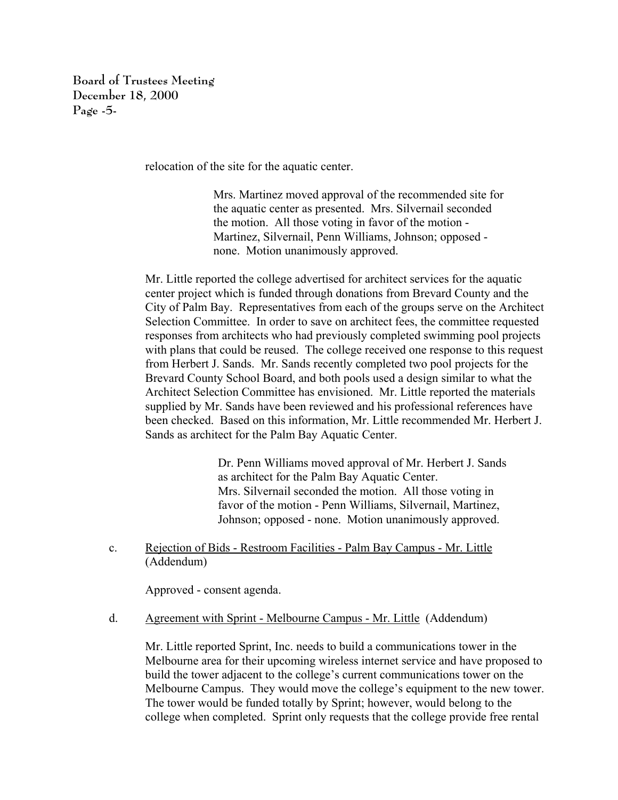**Board of Trustees Meeting December 18, 2000 Page -5-**

relocation of the site for the aquatic center.

Mrs. Martinez moved approval of the recommended site for the aquatic center as presented. Mrs. Silvernail seconded the motion. All those voting in favor of the motion - Martinez, Silvernail, Penn Williams, Johnson; opposed none. Motion unanimously approved.

Mr. Little reported the college advertised for architect services for the aquatic center project which is funded through donations from Brevard County and the City of Palm Bay. Representatives from each of the groups serve on the Architect Selection Committee. In order to save on architect fees, the committee requested responses from architects who had previously completed swimming pool projects with plans that could be reused. The college received one response to this request from Herbert J. Sands. Mr. Sands recently completed two pool projects for the Brevard County School Board, and both pools used a design similar to what the Architect Selection Committee has envisioned. Mr. Little reported the materials supplied by Mr. Sands have been reviewed and his professional references have been checked. Based on this information, Mr. Little recommended Mr. Herbert J. Sands as architect for the Palm Bay Aquatic Center.

> Dr. Penn Williams moved approval of Mr. Herbert J. Sands as architect for the Palm Bay Aquatic Center. Mrs. Silvernail seconded the motion. All those voting in favor of the motion - Penn Williams, Silvernail, Martinez, Johnson; opposed - none. Motion unanimously approved.

c. Rejection of Bids - Restroom Facilities - Palm Bay Campus - Mr. Little (Addendum)

Approved - consent agenda.

d. Agreement with Sprint - Melbourne Campus - Mr. Little (Addendum)

Mr. Little reported Sprint, Inc. needs to build a communications tower in the Melbourne area for their upcoming wireless internet service and have proposed to build the tower adjacent to the college's current communications tower on the Melbourne Campus. They would move the college's equipment to the new tower. The tower would be funded totally by Sprint; however, would belong to the college when completed. Sprint only requests that the college provide free rental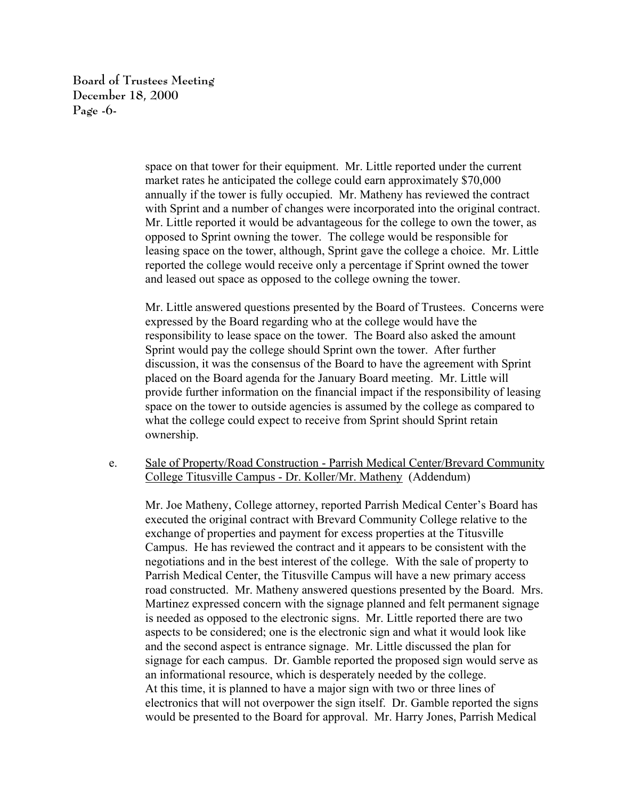**Board of Trustees Meeting December 18, 2000 Page -6-**

> space on that tower for their equipment. Mr. Little reported under the current market rates he anticipated the college could earn approximately \$70,000 annually if the tower is fully occupied. Mr. Matheny has reviewed the contract with Sprint and a number of changes were incorporated into the original contract. Mr. Little reported it would be advantageous for the college to own the tower, as opposed to Sprint owning the tower. The college would be responsible for leasing space on the tower, although, Sprint gave the college a choice. Mr. Little reported the college would receive only a percentage if Sprint owned the tower and leased out space as opposed to the college owning the tower.

> Mr. Little answered questions presented by the Board of Trustees. Concerns were expressed by the Board regarding who at the college would have the responsibility to lease space on the tower. The Board also asked the amount Sprint would pay the college should Sprint own the tower. After further discussion, it was the consensus of the Board to have the agreement with Sprint placed on the Board agenda for the January Board meeting. Mr. Little will provide further information on the financial impact if the responsibility of leasing space on the tower to outside agencies is assumed by the college as compared to what the college could expect to receive from Sprint should Sprint retain ownership.

e. Sale of Property/Road Construction - Parrish Medical Center/Brevard Community College Titusville Campus - Dr. Koller/Mr. Matheny (Addendum)

Mr. Joe Matheny, College attorney, reported Parrish Medical Center's Board has executed the original contract with Brevard Community College relative to the exchange of properties and payment for excess properties at the Titusville Campus. He has reviewed the contract and it appears to be consistent with the negotiations and in the best interest of the college. With the sale of property to Parrish Medical Center, the Titusville Campus will have a new primary access road constructed. Mr. Matheny answered questions presented by the Board. Mrs. Martinez expressed concern with the signage planned and felt permanent signage is needed as opposed to the electronic signs. Mr. Little reported there are two aspects to be considered; one is the electronic sign and what it would look like and the second aspect is entrance signage. Mr. Little discussed the plan for signage for each campus. Dr. Gamble reported the proposed sign would serve as an informational resource, which is desperately needed by the college. At this time, it is planned to have a major sign with two or three lines of electronics that will not overpower the sign itself. Dr. Gamble reported the signs would be presented to the Board for approval. Mr. Harry Jones, Parrish Medical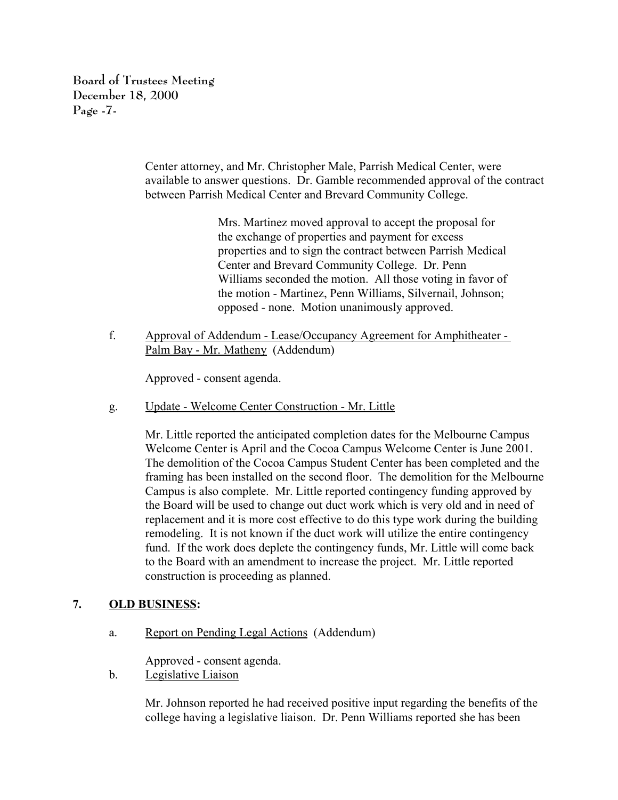**Board of Trustees Meeting December 18, 2000 Page -7-**

> Center attorney, and Mr. Christopher Male, Parrish Medical Center, were available to answer questions. Dr. Gamble recommended approval of the contract between Parrish Medical Center and Brevard Community College.

> > Mrs. Martinez moved approval to accept the proposal for the exchange of properties and payment for excess properties and to sign the contract between Parrish Medical Center and Brevard Community College. Dr. Penn Williams seconded the motion. All those voting in favor of the motion - Martinez, Penn Williams, Silvernail, Johnson; opposed - none. Motion unanimously approved.

f. Approval of Addendum - Lease/Occupancy Agreement for Amphitheater - Palm Bay - Mr. Matheny (Addendum)

Approved - consent agenda.

g. Update - Welcome Center Construction - Mr. Little

Mr. Little reported the anticipated completion dates for the Melbourne Campus Welcome Center is April and the Cocoa Campus Welcome Center is June 2001. The demolition of the Cocoa Campus Student Center has been completed and the framing has been installed on the second floor. The demolition for the Melbourne Campus is also complete. Mr. Little reported contingency funding approved by the Board will be used to change out duct work which is very old and in need of replacement and it is more cost effective to do this type work during the building remodeling. It is not known if the duct work will utilize the entire contingency fund. If the work does deplete the contingency funds, Mr. Little will come back to the Board with an amendment to increase the project. Mr. Little reported construction is proceeding as planned.

# **7. OLD BUSINESS:**

a. Report on Pending Legal Actions (Addendum)

Approved - consent agenda.

b. Legislative Liaison

Mr. Johnson reported he had received positive input regarding the benefits of the college having a legislative liaison. Dr. Penn Williams reported she has been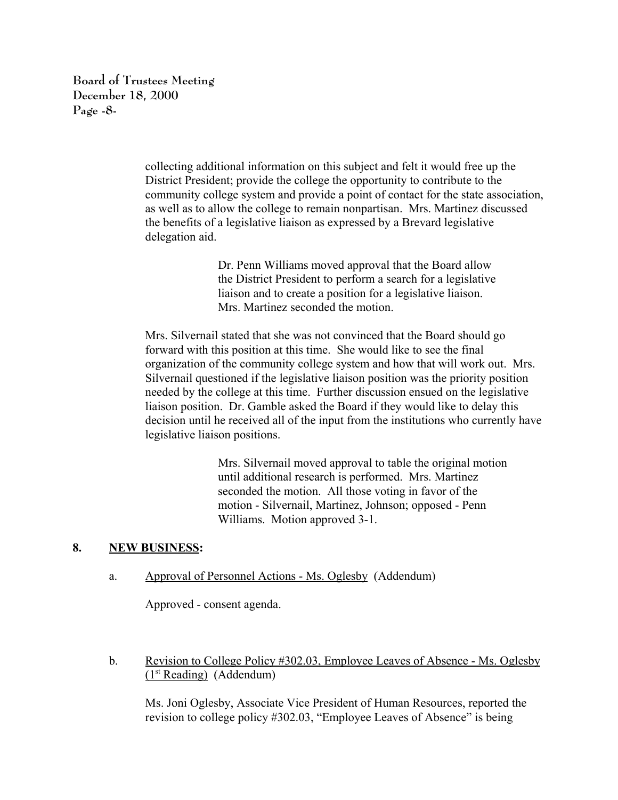**Board of Trustees Meeting December 18, 2000 Page -8-**

> collecting additional information on this subject and felt it would free up the District President; provide the college the opportunity to contribute to the community college system and provide a point of contact for the state association, as well as to allow the college to remain nonpartisan. Mrs. Martinez discussed the benefits of a legislative liaison as expressed by a Brevard legislative delegation aid.

> > Dr. Penn Williams moved approval that the Board allow the District President to perform a search for a legislative liaison and to create a position for a legislative liaison. Mrs. Martinez seconded the motion.

Mrs. Silvernail stated that she was not convinced that the Board should go forward with this position at this time. She would like to see the final organization of the community college system and how that will work out. Mrs. Silvernail questioned if the legislative liaison position was the priority position needed by the college at this time. Further discussion ensued on the legislative liaison position. Dr. Gamble asked the Board if they would like to delay this decision until he received all of the input from the institutions who currently have legislative liaison positions.

> Mrs. Silvernail moved approval to table the original motion until additional research is performed. Mrs. Martinez seconded the motion. All those voting in favor of the motion - Silvernail, Martinez, Johnson; opposed - Penn Williams. Motion approved 3-1.

# **8. NEW BUSINESS:**

a. Approval of Personnel Actions - Ms. Oglesby (Addendum)

Approved - consent agenda.

b. Revision to College Policy #302.03, Employee Leaves of Absence - Ms. Oglesby  $(1<sup>st</sup> Reading)$  (Addendum)

Ms. Joni Oglesby, Associate Vice President of Human Resources, reported the revision to college policy #302.03, "Employee Leaves of Absence" is being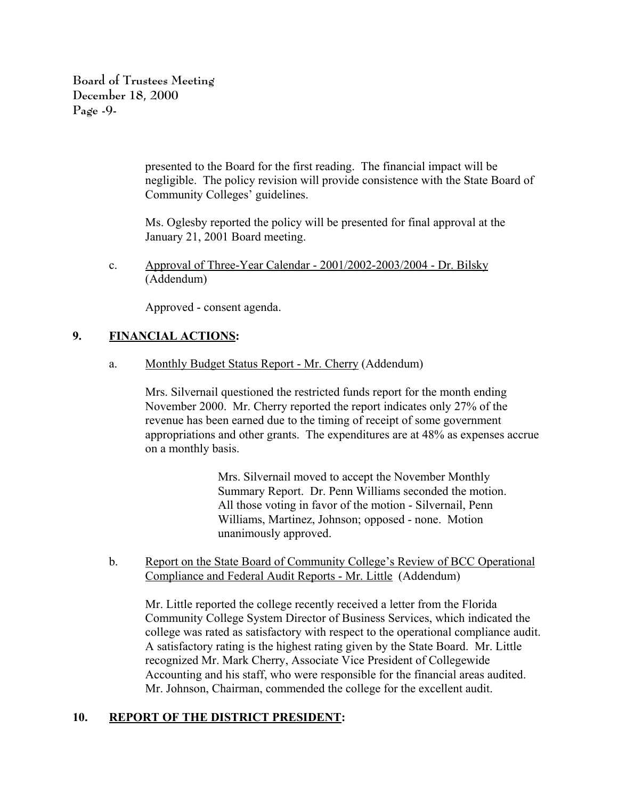**Board of Trustees Meeting December 18, 2000 Page -9-**

> presented to the Board for the first reading. The financial impact will be negligible. The policy revision will provide consistence with the State Board of Community Colleges' guidelines.

Ms. Oglesby reported the policy will be presented for final approval at the January 21, 2001 Board meeting.

c. Approval of Three-Year Calendar - 2001/2002-2003/2004 - Dr. Bilsky (Addendum)

Approved - consent agenda.

# **9. FINANCIAL ACTIONS:**

a. Monthly Budget Status Report - Mr. Cherry (Addendum)

Mrs. Silvernail questioned the restricted funds report for the month ending November 2000. Mr. Cherry reported the report indicates only 27% of the revenue has been earned due to the timing of receipt of some government appropriations and other grants. The expenditures are at 48% as expenses accrue on a monthly basis.

> Mrs. Silvernail moved to accept the November Monthly Summary Report. Dr. Penn Williams seconded the motion. All those voting in favor of the motion - Silvernail, Penn Williams, Martinez, Johnson; opposed - none. Motion unanimously approved.

b. Report on the State Board of Community College's Review of BCC Operational Compliance and Federal Audit Reports - Mr. Little (Addendum)

Mr. Little reported the college recently received a letter from the Florida Community College System Director of Business Services, which indicated the college was rated as satisfactory with respect to the operational compliance audit. A satisfactory rating is the highest rating given by the State Board. Mr. Little recognized Mr. Mark Cherry, Associate Vice President of Collegewide Accounting and his staff, who were responsible for the financial areas audited. Mr. Johnson, Chairman, commended the college for the excellent audit.

# **10. REPORT OF THE DISTRICT PRESIDENT:**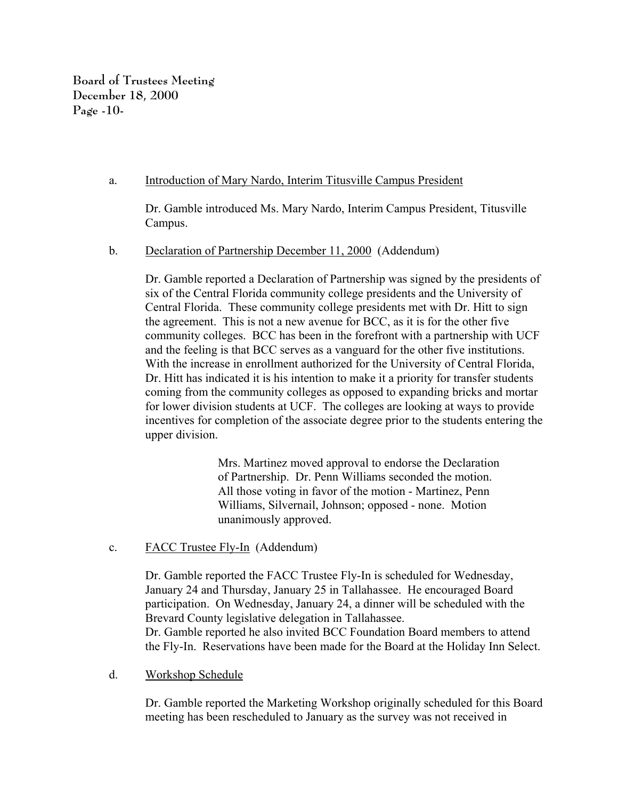**Board of Trustees Meeting December 18, 2000 Page -10-**

### a. Introduction of Mary Nardo, Interim Titusville Campus President

Dr. Gamble introduced Ms. Mary Nardo, Interim Campus President, Titusville Campus.

### b. Declaration of Partnership December 11, 2000 (Addendum)

Dr. Gamble reported a Declaration of Partnership was signed by the presidents of six of the Central Florida community college presidents and the University of Central Florida. These community college presidents met with Dr. Hitt to sign the agreement. This is not a new avenue for BCC, as it is for the other five community colleges. BCC has been in the forefront with a partnership with UCF and the feeling is that BCC serves as a vanguard for the other five institutions. With the increase in enrollment authorized for the University of Central Florida, Dr. Hitt has indicated it is his intention to make it a priority for transfer students coming from the community colleges as opposed to expanding bricks and mortar for lower division students at UCF. The colleges are looking at ways to provide incentives for completion of the associate degree prior to the students entering the upper division.

> Mrs. Martinez moved approval to endorse the Declaration of Partnership. Dr. Penn Williams seconded the motion. All those voting in favor of the motion - Martinez, Penn Williams, Silvernail, Johnson; opposed - none. Motion unanimously approved.

# c. FACC Trustee Fly-In (Addendum)

Dr. Gamble reported the FACC Trustee Fly-In is scheduled for Wednesday, January 24 and Thursday, January 25 in Tallahassee. He encouraged Board participation. On Wednesday, January 24, a dinner will be scheduled with the Brevard County legislative delegation in Tallahassee. Dr. Gamble reported he also invited BCC Foundation Board members to attend the Fly-In. Reservations have been made for the Board at the Holiday Inn Select.

#### d. Workshop Schedule

Dr. Gamble reported the Marketing Workshop originally scheduled for this Board meeting has been rescheduled to January as the survey was not received in